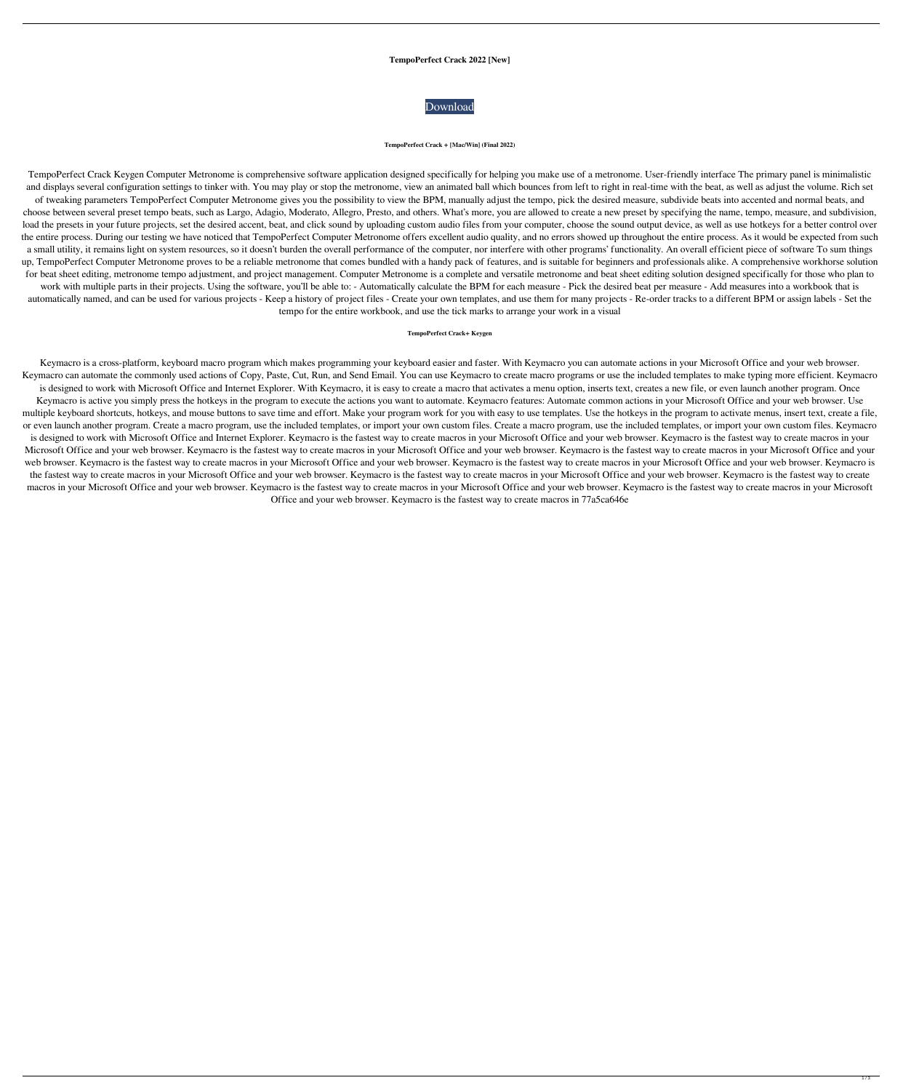# **TempoPerfect Crack 2022 [New]**



#### **TempoPerfect Crack + [Mac/Win] (Final 2022)**

TempoPerfect Crack Keygen Computer Metronome is comprehensive software application designed specifically for helping you make use of a metronome. User-friendly interface The primary panel is minimalistic and displays several configuration settings to tinker with. You may play or stop the metronome, view an animated ball which bounces from left to right in real-time with the beat, as well as adjust the volume. Rich set of tweaking parameters TempoPerfect Computer Metronome gives you the possibility to view the BPM, manually adjust the tempo, pick the desired measure, subdivide beats into accented and normal beats, and choose between several preset tempo beats, such as Largo, Adagio, Moderato, Allegro, Presto, and others. What's more, you are allowed to create a new preset by specifying the name, tempo, measure, and subdivision, load the presets in your future projects, set the desired accent, beat, and click sound by uploading custom audio files from your computer, choose the sound output device, as well as use hotkeys for a better control over the entire process. During our testing we have noticed that TempoPerfect Computer Metronome offers excellent audio quality, and no errors showed up throughout the entire process. As it would be expected from such a small utility, it remains light on system resources, so it doesn't burden the overall performance of the computer, nor interfere with other programs' functionality. An overall efficient piece of software To sum things up, TempoPerfect Computer Metronome proves to be a reliable metronome that comes bundled with a handy pack of features, and is suitable for beginners and professionals alike. A comprehensive workhorse solution for beat sheet editing, metronome tempo adjustment, and project management. Computer Metronome is a complete and versatile metronome and beat sheet editing solution designed specifically for those who plan to work with multiple parts in their projects. Using the software, you'll be able to: - Automatically calculate the BPM for each measure - Pick the desired beat per measure - Add measures into a workbook that is automatically named, and can be used for various projects - Keep a history of project files - Create your own templates, and use them for many projects - Re-order tracks to a different BPM or assign labels - Set the tempo for the entire workbook, and use the tick marks to arrange your work in a visual

#### **TempoPerfect Crack+ Keygen**

Keymacro is a cross-platform, keyboard macro program which makes programming your keyboard easier and faster. With Keymacro you can automate actions in your Microsoft Office and your web browser. Keymacro can automate the commonly used actions of Copy, Paste, Cut, Run, and Send Email. You can use Keymacro to create macro programs or use the included templates to make typing more efficient. Keymacro is designed to work with Microsoft Office and Internet Explorer. With Keymacro, it is easy to create a macro that activates a menu option, inserts text, creates a new file, or even launch another program. Once Keymacro is active you simply press the hotkeys in the program to execute the actions you want to automate. Keymacro features: Automate common actions in your Microsoft Office and your web browser. Use multiple keyboard shortcuts, hotkeys, and mouse buttons to save time and effort. Make your program work for you with easy to use templates. Use the hotkeys in the program to activate menus, insert text, create a file, or even launch another program. Create a macro program, use the included templates, or import your own custom files. Create a macro program, use the included templates, or import your own custom files. Keymacro is designed to work with Microsoft Office and Internet Explorer. Keymacro is the fastest way to create macros in your Microsoft Office and your web browser. Keymacro is the fastest way to create macros in your Microsoft Office and your web browser. Keymacro is the fastest way to create macros in your Microsoft Office and your web browser. Keymacro is the fastest way to create macros in your Microsoft Office and your web browser. Keymacro is the fastest way to create macros in your Microsoft Office and your web browser. Keymacro is the fastest way to create macros in your Microsoft Office and your web browser. Keymacro is the fastest way to create macros in your Microsoft Office and your web browser. Keymacro is the fastest way to create macros in your Microsoft Office and your web browser. Keymacro is the fastest way to create macros in your Microsoft Office and your web browser. Keymacro is the fastest way to create macros in your Microsoft Office and your web browser. Keymacro is the fastest way to create macros in your Microsoft Office and your web browser. Keymacro is the fastest way to create macros in 77a5ca646e

 $1/3$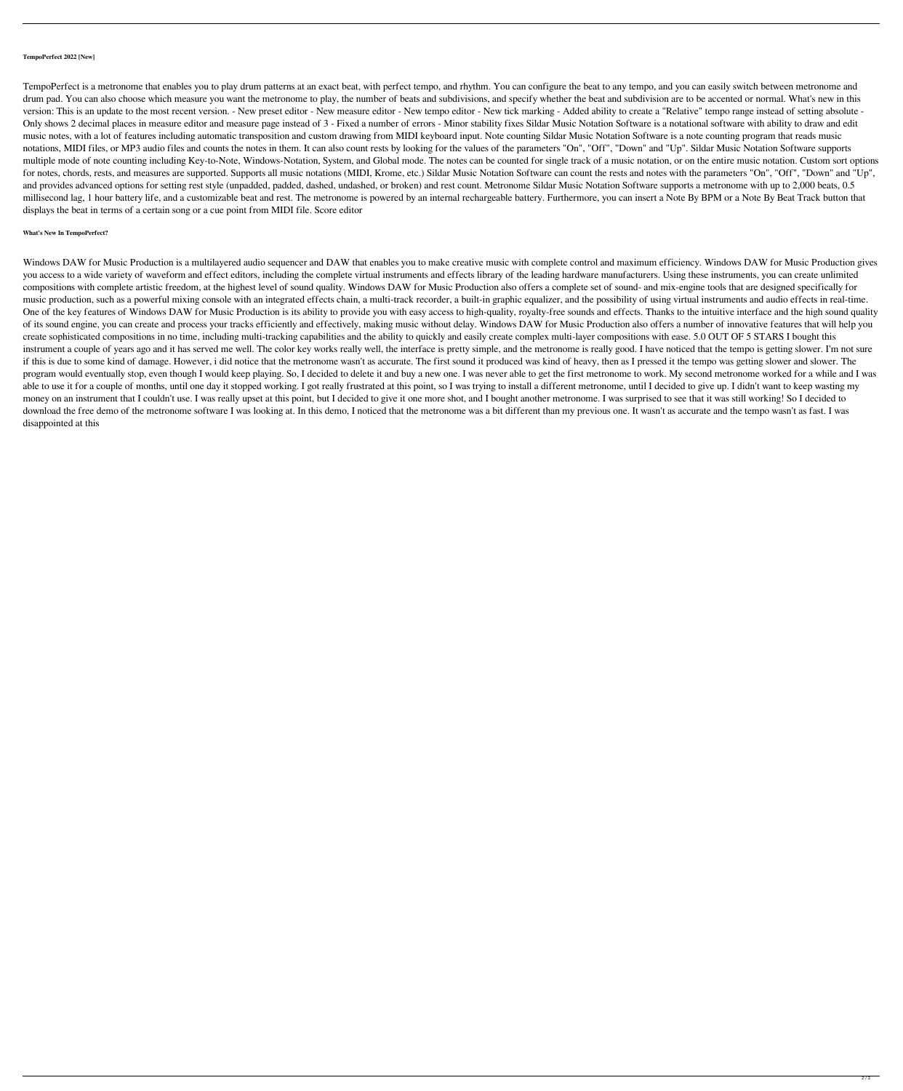### **TempoPerfect 2022 [New]**

TempoPerfect is a metronome that enables you to play drum patterns at an exact beat, with perfect tempo, and rhythm. You can configure the beat to any tempo, and you can easily switch between metronome and drum pad. You can also choose which measure you want the metronome to play, the number of beats and subdivisions, and specify whether the beat and subdivision are to be accented or normal. What's new in this version: This is an update to the most recent version. - New preset editor - New measure editor - New tempo editor - New tick marking - Added ability to create a "Relative" tempo range instead of setting absolute - Only shows 2 decimal places in measure editor and measure page instead of 3 - Fixed a number of errors - Minor stability fixes Sildar Music Notation Software is a notational software with ability to draw and edit music notes, with a lot of features including automatic transposition and custom drawing from MIDI keyboard input. Note counting Sildar Music Notation Software is a note counting program that reads music notations, MIDI files, or MP3 audio files and counts the notes in them. It can also count rests by looking for the values of the parameters "On", "Off", "Down" and "Up". Sildar Music Notation Software supports multiple mode of note counting including Key-to-Note, Windows-Notation, System, and Global mode. The notes can be counted for single track of a music notation, or on the entire music notation. Custom sort options for notes, chords, rests, and measures are supported. Supports all music notations (MIDI, Krome, etc.) Sildar Music Notation Software can count the rests and notes with the parameters "On", "Off", "Down" and "Up", and provides advanced options for setting rest style (unpadded, padded, dashed, undashed, or broken) and rest count. Metronome Sildar Music Notation Software supports a metronome with up to 2,000 beats, 0.5 millisecond lag, 1 hour battery life, and a customizable beat and rest. The metronome is powered by an internal rechargeable battery. Furthermore, you can insert a Note By BPM or a Note By Beat Track button that displays the beat in terms of a certain song or a cue point from MIDI file. Score editor

# **What's New In TempoPerfect?**

Windows DAW for Music Production is a multilayered audio sequencer and DAW that enables you to make creative music with complete control and maximum efficiency. Windows DAW for Music Production gives you access to a wide variety of waveform and effect editors, including the complete virtual instruments and effects library of the leading hardware manufacturers. Using these instruments, you can create unlimited compositions with complete artistic freedom, at the highest level of sound quality. Windows DAW for Music Production also offers a complete set of sound- and mix-engine tools that are designed specifically for music production, such as a powerful mixing console with an integrated effects chain, a multi-track recorder, a built-in graphic equalizer, and the possibility of using virtual instruments and audio effects in real-time. One of the key features of Windows DAW for Music Production is its ability to provide you with easy access to high-quality, royalty-free sounds and effects. Thanks to the intuitive interface and the high sound quality of its sound engine, you can create and process your tracks efficiently and effectively, making music without delay. Windows DAW for Music Production also offers a number of innovative features that will help you create sophisticated compositions in no time, including multi-tracking capabilities and the ability to quickly and easily create complex multi-layer compositions with ease. 5.0 OUT OF 5 STARS I bought this instrument a couple of years ago and it has served me well. The color key works really well, the interface is pretty simple, and the metronome is really good. I have noticed that the tempo is getting slower. I'm not sure if this is due to some kind of damage. However, i did notice that the metronome wasn't as accurate. The first sound it produced was kind of heavy, then as I pressed it the tempo was getting slower and slower. The program would eventually stop, even though I would keep playing. So, I decided to delete it and buy a new one. I was never able to get the first metronome to work. My second metronome worked for a while and I was able to use it for a couple of months, until one day it stopped working. I got really frustrated at this point, so I was trying to install a different metronome, until I decided to give up. I didn't want to keep wasting my money on an instrument that I couldn't use. I was really upset at this point, but I decided to give it one more shot, and I bought another metronome. I was surprised to see that it was still working! So I decided to download the free demo of the metronome software I was looking at. In this demo, I noticed that the metronome was a bit different than my previous one. It wasn't as accurate and the tempo wasn't as fast. I was disappointed at this